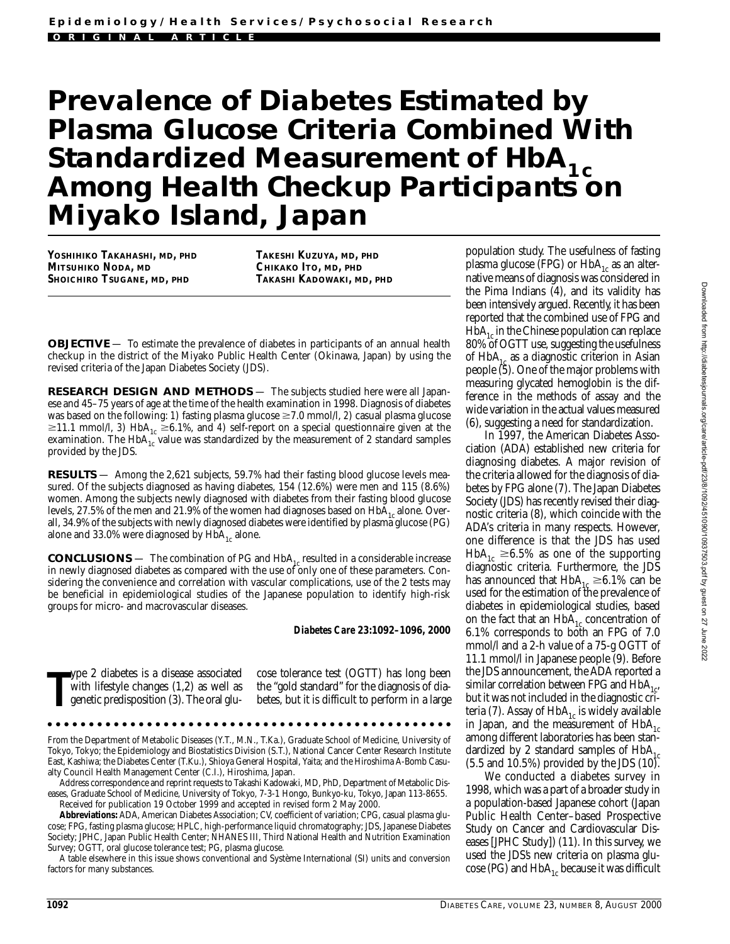# **Prevalence of Diabetes Estimated by Plasma Glucose Criteria Combined With Standardized Measurement of HbA<sub>1c</sub>**<br>**Among Health Checkup Participants on Miyako Island, Japan**

**YOSHIHIKO TAKAHASHI, MD, PHD MITSUHIKO NODA, MD SHOICHIRO TSUGANE, MD, PHD**

**TAKESHI KUZUYA, MD, PHD CHIKAKO ITO, MD, PHD TAKASHI KADOWAKI, MD, PHD**

**OBJECTIVE** — To estimate the prevalence of diabetes in participants of an annual health checkup in the district of the Miyako Public Health Center (Okinawa, Japan) by using the revised criteria of the Japan Diabetes Society (JDS).

**RESEARCH DESIGN AND METHODS** — The subjects studied here were all Japanese and 45–75 years of age at the time of the health examination in 1998. Diagnosis of diabetes was based on the following: 1) fasting plasma glucose ≥7.0 mmol/l, *2*) casual plasma glucose  $\geq$ 11.1 mmol/l, 3) HbA<sub>1c</sub>  $\geq$ 6.1%, and 4) self-report on a special questionnaire given at the examination. The HbA $_{1c}^{1c}$  value was standardized by the measurement of 2 standard samples provided by the JDS.

**RESULTS** — Among the 2,621 subjects, 59.7% had their fasting blood glucose levels measured. Of the subjects diagnosed as having diabetes, 154 (12.6%) were men and 115 (8.6%) women. Among the subjects newly diagnosed with diabetes from their fasting blood glucose levels, 27.5% of the men and 21.9% of the women had diagnoses based on  $HbA_{1c}$  alone. Overall, 34.9% of the subjects with newly diagnosed diabetes were identified by plasma glucose (PG) alone and 33.0% were diagnosed by  $HbA_{1c}$  alone.

**CONCLUSIONS** — The combination of PG and  $HbA_{1c}$  resulted in a considerable increase in newly diagnosed diabetes as compared with the use of only one of these parameters. Considering the convenience and correlation with vascular complications, use of the 2 tests may be beneficial in epidemiological studies of the Japanese population to identify high-risk groups for micro- and macrovascular diseases.

*Diabetes Care* **23:1092–1096, 2000**

**T** ype 2 diabetes is a disease associated with lifestyle changes (1,2) as well as genetic predisposition (3). The oral glucose tolerance test (OGTT) has long been the "gold standard" for the diagnosis of diabetes, but it is difficult to perform in a large

From the Department of Metabolic Diseases (Y.T., M.N., T.Ka.), Graduate School of Medicine, University of Tokyo, Tokyo; the Epidemiology and Biostatistics Division (S.T.), National Cancer Center Research Institute East, Kashiwa; the Diabetes Center (T.Ku.), Shioya General Hospital, Yaita; and the Hiroshima A-Bomb Casualty Council Health Management Center (C.I.), Hiroshima, Japan.

Address correspondence and reprint requests to Takashi Kadowaki, MD, PhD, Department of Metabolic Diseases, Graduate School of Medicine, University of Tokyo, 7-3-1 Hongo, Bunkyo-ku, Tokyo, Japan 113-8655. Received for publication 19 October 1999 and accepted in revised form 2 May 2000.

**Abbreviations:** ADA, American Diabetes Association; CV, coefficient of variation; CPG, casual plasma glucose; FPG, fasting plasma glucose; HPLC, high-performance liquid chromatography; JDS, Japanese Diabetes Society; JPHC, Japan Public Health Center; NHANES III, Third National Health and Nutrition Examination Survey; OGTT, oral glucose tolerance test; PG, plasma glucose.

A table elsewhere in this issue shows conventional and Système International (SI) units and conversion factors for many substances.

population study. The usefulness of fasting plasma glucose (FPG) or  $HbA_{1c}$  as an alternative means of diagnosis was considered in the Pima Indians (4), and its validity has been intensively argued. Recently, it has been reported that the combined use of FPG and  $HbA<sub>1c</sub>$  in the Chinese population can replace 80% of OGTT use, suggesting the usefulness of  $HbA_{1c}$  as a diagnostic criterion in Asian people (5). One of the major problems with measuring glycated hemoglobin is the difference in the methods of assay and the wide variation in the actual values measured (6), suggesting a need for standardization.

In 1997, the American Diabetes Association (ADA) established new criteria for diagnosing diabetes. A major revision of the criteria allowed for the diagnosis of diabetes by FPG alone (7). The Japan Diabetes Society (JDS) has recently revised their diagnostic criteria (8), which coincide with the ADA's criteria in many respects. However, one difference is that the JDS has used  $HbA_{1c} \geq 6.5\%$  as one of the supporting diagnostic criteria. Furthermore, the JDS has announced that  $HbA_{1c} \geq 6.1\%$  can be used for the estimation of the prevalence of diabetes in epidemiological studies, based on the fact that an  $HbA_{1c}$  concentration of 6.1% corresponds to both an FPG of 7.0 mmol/l and a 2-h value of a 75-g OGTT of 11.1 mmol/l in Japanese people (9). Before the JDS announcement, the ADA reported a similar correlation between FPG and  $\mathrm{HbA}_{1c}$ but it was not included in the diagnostic criteria (7). Assay of  $HbA_{1c}$  is widely available in Japan, and the measurement of  $HbA<sub>1c</sub>$ among different laboratories has been standardized by 2 standard samples of  $HbA<sub>1c</sub>$ (5.5 and 10.5%) provided by the JDS (10).

We conducted a diabetes survey in 1998, which was a part of a broader study in a population-based Japanese cohort (Japan Public Health Center–based Prospective Study on Cancer and Cardiovascular Diseases [JPHC Study]) (11). In this survey, we used the JDS's new criteria on plasma glucose (PG) and  $HbA_{1c}$  because it was difficult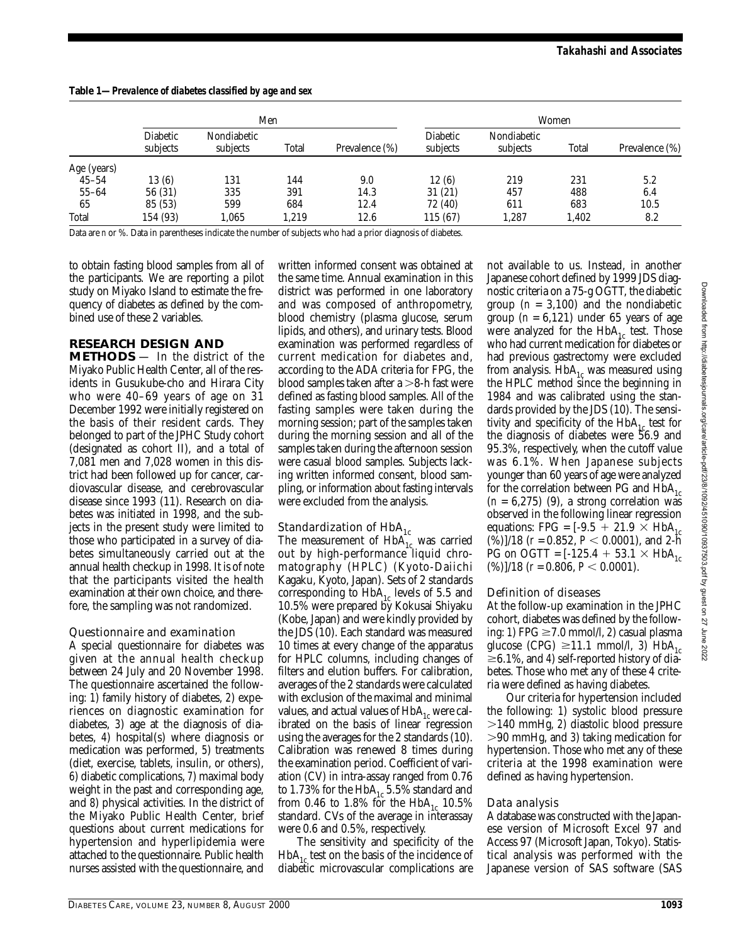|             | Men                  |                         |       |                | Women                |                         |       |                |
|-------------|----------------------|-------------------------|-------|----------------|----------------------|-------------------------|-------|----------------|
|             | Diabetic<br>subjects | Nondiabetic<br>subjects | Total | Prevalence (%) | Diabetic<br>subjects | Nondiabetic<br>subjects | Total | Prevalence (%) |
| Age (years) |                      |                         |       |                |                      |                         |       |                |
| $45 - 54$   | 13(6)                | 131                     | 144   | 9.0            | 12(6)                | 219                     | 231   | 5.2            |
| $55 - 64$   | 56 (31)              | 335                     | 391   | 14.3           | 31(21)               | 457                     | 488   | 6.4            |
| 65          | 85 (53)              | 599                     | 684   | 12.4           | 72 (40)              | 611                     | 683   | 10.5           |
| Total       | 154 (93)             | 1,065                   | 1,219 | 12.6           | 115 (67)             | 1,287                   | 1,402 | 8.2            |

**Table 1—***Prevalence of diabetes classified by age and sex*

Data are *n* or %. Data in parentheses indicate the number of subjects who had a prior diagnosis of diabetes.

to obtain fasting blood samples from all of the participants. We are reporting a pilot study on Miyako Island to estimate the frequency of diabetes as defined by the combined use of these 2 variables.

# **RESEARCH DESIGN AND**

**METHODS** — In the district of the Miyako Public Health Center, all of the residents in Gusukube-cho and Hirara City who were 40–69 years of age on 31 December 1992 were initially registered on the basis of their resident cards. They belonged to part of the JPHC Study cohort (designated as cohort II), and a total of 7,081 men and 7,028 women in this district had been followed up for cancer, cardiovascular disease, and cerebrovascular disease since 1993 (11). Research on diabetes was initiated in 1998, and the subjects in the present study were limited to those who participated in a survey of diabetes simultaneously carried out at the annual health checkup in 1998. It is of note that the participants visited the health examination at their own choice, and therefore, the sampling was not randomized.

# Questionnaire and examination

A special questionnaire for diabetes was given at the annual health checkup between 24 July and 20 November 1998. The questionnaire ascertained the following: *1*) family history of diabetes, *2*) experiences on diagnostic examination for diabetes, *3*) age at the diagnosis of diabetes, *4*) hospital(s) where diagnosis or medication was performed, *5*) treatments (diet, exercise, tablets, insulin, or others), *6*) diabetic complications, *7*) maximal body weight in the past and corresponding age, and *8*) physical activities. In the district of the Miyako Public Health Center, brief questions about current medications for hypertension and hyperlipidemia were attached to the questionnaire. Public health nurses assisted with the questionnaire, and written informed consent was obtained at the same time. Annual examination in this district was performed in one laboratory and was composed of anthropometry, blood chemistry (plasma glucose, serum lipids, and others), and urinary tests. Blood examination was performed regardless of current medication for diabetes and, according to the ADA criteria for FPG, the blood samples taken after a  $>$ 8-h fast were defined as fasting blood samples. All of the fasting samples were taken during the morning session; part of the samples taken during the morning session and all of the samples taken during the afternoon session were casual blood samples. Subjects lacking written informed consent, blood sampling, or information about fasting intervals were excluded from the analysis.

# Standardization of  $\rm{HbA}_{1c}$

The measurement of  $HbA_{1c}$  was carried out by high-performance liquid chromatography (HPLC) (Kyoto-Daiichi Kagaku, Kyoto, Japan). Sets of 2 standards corresponding to  $HbA_{1c}$  levels of 5.5 and 10.5% were prepared by Kokusai Shiyaku (Kobe, Japan) and were kindly provided by the JDS (10). Each standard was measured 10 times at every change of the apparatus for HPLC columns, including changes of filters and elution buffers. For calibration, averages of the 2 standards were calculated with exclusion of the maximal and minimal values, and actual values of  $HbA_{1c}$  were calibrated on the basis of linear regression using the averages for the 2 standards (10). Calibration was renewed 8 times during the examination period. Coefficient of variation (CV) in intra-assay ranged from 0.76 to 1.73% for the  $HbA_{1c}$  5.5% standard and from 0.46 to 1.8% for the  $HbA_{1c}$  10.5% standard. CVs of the average in interassay were 0.6 and 0.5%, respectively.

The sensitivity and specificity of the  $HbA<sub>1c</sub>$  test on the basis of the incidence of diabetic microvascular complications are not available to us. Instead, in another Japanese cohort defined by 1999 JDS diagnostic criteria on a 75-g OGTT, the diabetic group  $(n = 3,100)$  and the nondiabetic group  $(n = 6,121)$  under 65 years of age were analyzed for the  $HbA_{1c}$  test. Those who had current medication for diabetes or had previous gastrectomy were excluded from analysis.  $HbA_{1c}$  was measured using the HPLC method since the beginning in 1984 and was calibrated using the standards provided by the JDS (10). The sensitivity and specificity of the  $HbA_{1c}$  test for the diagnosis of diabetes were 56.9 and 95.3%, respectively, when the cutoff value was 6.1%. When Japanese subjects younger than 60 years of age were analyzed for the correlation between PG and  $HbA_{1c}$  $(n = 6,275)$  (9), a strong correlation was observed in the following linear regression equations: FPG =  $[-9.5 + 21.9 \times HbA_1$  $(\frac{\hat{v}}{6})$ /18 (*r* = 0.852, *P* < 0.0001), and 2-h PG on OGTT =  $[-125.4 + 53.1 \times HbA]_{c}$  $(\%)$ |/18 (*r* = 0.806, *P* < 0.0001).

# Definition of diseases

At the follow-up examination in the JPHC cohort, diabetes was defined by the following: 1) FPG ≥7.0 mmol/l, 2) casual plasma glucose (CPG)  $\geq 11.1$  mmol/l, 3) HbA<sub>1c</sub> -6.1%, and *4*) self-reported history of diabetes. Those who met any of these 4 criteria were defined as having diabetes.

Our criteria for hypertension included the following: *1*) systolic blood pressure 140 mmHg*, 2*) diastolic blood pressure 90 mmHg, and *3*) taking medication for hypertension. Those who met any of these criteria at the 1998 examination were defined as having hypertension.

#### Data analysis

A database was constructed with the Japanese version of Microsoft Excel 97 and Access 97 (Microsoft Japan, Tokyo). Statistical analysis was performed with the Japanese version of SAS software (SAS Downloaded from htp://diabetesjournals.org/care/article-pdf/23/8/1092/451090/10937503.pdf by guest on 27 June 2022 Downloaded from http://diabetesjournals.org/care/article-pdf/23/8/1092/451090/10937503.pdf by guest on 27 June 2022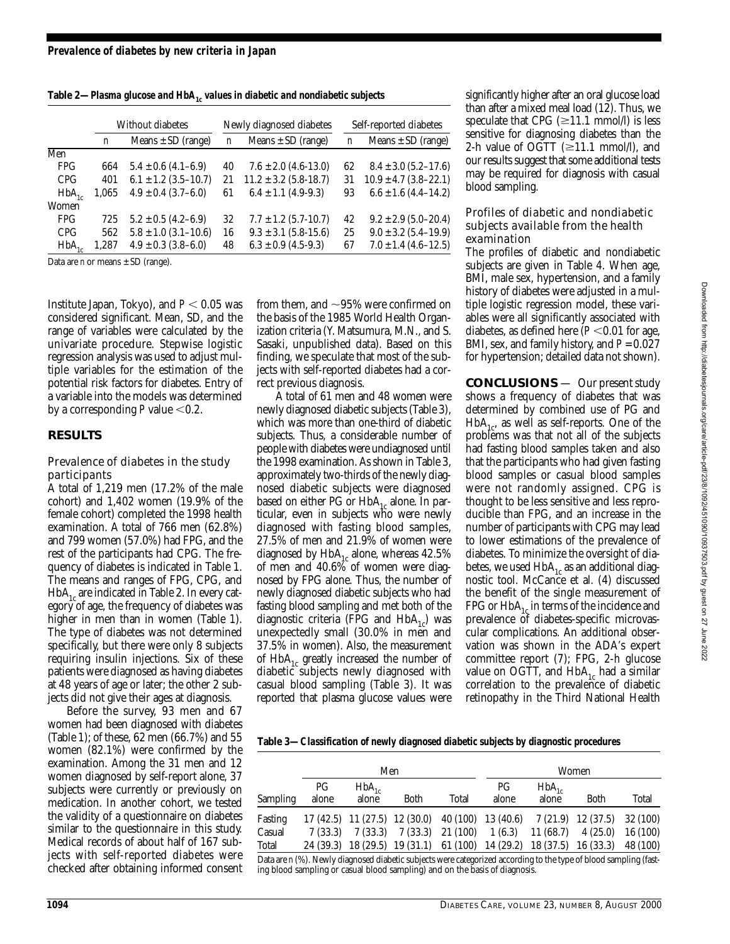|                 | Without diabetes |                          | Newly diagnosed diabetes |                           | Self-reported diabetes |                           |
|-----------------|------------------|--------------------------|--------------------------|---------------------------|------------------------|---------------------------|
|                 | n                | Means $\pm$ SD (range)   | n                        | Means $\pm$ SD (range)    | n                      | Means $\pm$ SD (range)    |
| Men             |                  |                          |                          |                           |                        |                           |
| FPG             | 664              | $5.4 \pm 0.6$ (4.1–6.9)  | 40                       | $7.6 \pm 2.0$ (4.6-13.0)  | 62                     | $8.4 \pm 3.0$ (5.2–17.6)  |
| CPG <sup></sup> | 401              | $6.1 \pm 1.2$ (3.5-10.7) | 21                       | $11.2 \pm 3.2$ (5.8-18.7) | 31                     | $10.9 \pm 4.7$ (3.8-22.1) |
| $HbA_{1c}$      | 1.065            | $4.9 \pm 0.4$ (3.7–6.0)  | 61                       | $6.4 \pm 1.1$ (4.9-9.3)   | 93                     | $6.6 \pm 1.6$ (4.4-14.2)  |
| Women           |                  |                          |                          |                           |                        |                           |
| FPG             | 725              | $5.2 \pm 0.5$ (4.2–6.9)  | 32                       | $7.7 \pm 1.2$ (5.7-10.7)  | 42                     | $9.2 \pm 2.9$ (5.0–20.4)  |
| CPG <sup></sup> | 562              | $5.8 \pm 1.0$ (3.1–10.6) | 16                       | $9.3 \pm 3.1$ (5.8-15.6)  | 25                     | $9.0 \pm 3.2$ (5.4–19.9)  |
| $HbA_{1c}$      | 1,287            | $4.9 \pm 0.3$ (3.8–6.0)  | 48                       | $6.3 \pm 0.9$ (4.5-9.3)   | 67                     | $7.0 \pm 1.4$ (4.6-12.5)  |
|                 |                  |                          |                          |                           |                        |                           |

Table 2—*Plasma glucose and HbA<sub>1c</sub> values in diabetic and nondiabetic subjects* 

Data are *n* or means  $\pm$  SD (range).

Institute Japan, Tokyo), and  $P < 0.05$  was considered significant. Mean, SD, and the range of variables were calculated by the univariate procedure. Stepwise logistic regression analysis was used to adjust multiple variables for the estimation of the potential risk factors for diabetes. Entry of a variable into the models was determined by a corresponding  $P$  value  $\leq 0.2$ .

# **RESULTS**

#### Prevalence of diabetes in the study participants

A total of 1,219 men (17.2% of the male cohort) and 1,402 women (19.9% of the female cohort) completed the 1998 health examination. A total of 766 men (62.8%) and 799 women (57.0%) had FPG, and the rest of the participants had CPG. The frequency of diabetes is indicated in Table 1. The means and ranges of FPG, CPG, and  $HbA_{1c}$  are indicated in Table 2. In every category of age, the frequency of diabetes was higher in men than in women (Table 1). The type of diabetes was not determined specifically, but there were only 8 subjects requiring insulin injections. Six of these patients were diagnosed as having diabetes at 48 years of age or later; the other 2 subjects did not give their ages at diagnosis.

Before the survey, 93 men and 67 women had been diagnosed with diabetes (Table 1); of these, 62 men (66.7%) and 55 women (82.1%) were confirmed by the examination. Among the 31 men and 12 women diagnosed by self-report alone, 37 subjects were currently or previously on medication. In another cohort, we tested the validity of a questionnaire on diabetes similar to the questionnaire in this study. Medical records of about half of 167 subjects with self-reported diabetes were checked after obtaining informed consent

from them, and  ${\sim} 95\%$  were confirmed on the basis of the 1985 World Health Organization criteria (Y. Matsumura, M.N., and S. Sasaki, unpublished data). Based on this finding, we speculate that most of the subjects with self-reported diabetes had a correct previous diagnosis.

A total of 61 men and 48 women were newly diagnosed diabetic subjects (Table 3), which was more than one-third of diabetic subjects. Thus, a considerable number of people with diabetes were undiagnosed until the 1998 examination. As shown in Table 3, approximately two-thirds of the newly diagnosed diabetic subjects were diagnosed based on either PG or  $HbA_{1c}$  alone. In particular, even in subjects who were newly diagnosed with fasting blood samples, 27.5% of men and 21.9% of women were diagnosed by  $HbA_{1c}$  alone, whereas 42.5% of men and 40.6% of women were diagnosed by FPG alone. Thus, the number of newly diagnosed diabetic subjects who had fasting blood sampling and met both of the diagnostic criteria (FPG and  $HbA_{1c}$ ) was unexpectedly small (30.0% in men and 37.5% in women). Also, the measurement of  $HbA_{1c}$  greatly increased the number of diabetic subjects newly diagnosed with casual blood sampling (Table 3). It was reported that plasma glucose values were

significantly higher after an oral glucose load than after a mixed meal load (12). Thus, we speculate that CPG  $(\geq 11.1 \text{ mmol/l})$  is less sensitive for diagnosing diabetes than the 2-h value of OGTT  $(\geq 11.1 \text{ mmol/l})$ , and our results suggest that some additional tests may be required for diagnosis with casual blood sampling.

#### Profiles of diabetic and nondiabetic subjects available from the health examination

The profiles of diabetic and nondiabetic subjects are given in Table 4. When age, BMI, male sex, hypertension, and a family history of diabetes were adjusted in a multiple logistic regression model, these variables were all significantly associated with diabetes, as defined here  $(P<0.01$  for age, BMI, sex, and family history, and *P* = 0.027 for hypertension; detailed data not shown).

**CONCLUSIONS** — Our present study shows a frequency of diabetes that was determined by combined use of PG and  $HbA_{1c}$ , as well as self-reports. One of the problems was that not all of the subjects had fasting blood samples taken and also that the participants who had given fasting blood samples or casual blood samples were not randomly assigned. CPG is thought to be less sensitive and less reproducible than FPG, and an increase in the number of participants with CPG may lead to lower estimations of the prevalence of diabetes. To minimize the oversight of diabetes, we used  $HbA_{1c}$  as an additional diagnostic tool. McCance et al. (4) discussed the benefit of the single measurement of FPG or  $HbA_{1c}$  in terms of the incidence and prevalence of diabetes-specific microvascular complications. An additional observation was shown in the ADA's expert committee report (7); FPG, 2-h glucose value on OGTT, and  $HbA_{1c}$  had a similar correlation to the prevalence of diabetic retinopathy in the Third National Health

**Table 3—***Classification of newly diagnosed diabetic subjects by diagnostic procedures*

|          | Men         |                     |                               |       | Women       |                                                                      |         |          |
|----------|-------------|---------------------|-------------------------------|-------|-------------|----------------------------------------------------------------------|---------|----------|
| Sampling | PG<br>alone | $HbA_{1c}$<br>alone | <b>Both</b>                   | Total | PG<br>alone | $HbA_{1c}$<br>alone                                                  | Both    | Total    |
| Fasting  |             |                     |                               |       |             | $17(42.5)$ 11 (27.5) 12 (30.0) 40 (100) 13 (40.6) 7 (21.9) 12 (37.5) |         | 32 (100) |
| Casual   | 7 (33.3)    |                     | $7(33.3)$ $7(33.3)$ $21(100)$ |       | 1(6.3)      | 11 (68.7)                                                            | 4(25.0) | 16 (100) |
| Total    |             |                     |                               |       |             | 24 (39.3) 18 (29.5) 19 (31.1) 61 (100) 14 (29.2) 18 (37.5) 16 (33.3) |         | 48 (100) |

Data are *n* (%). Newly diagnosed diabetic subjects were categorized according to the type of blood sampling (fasting blood sampling or casual blood sampling) and on the basis of diagnosis.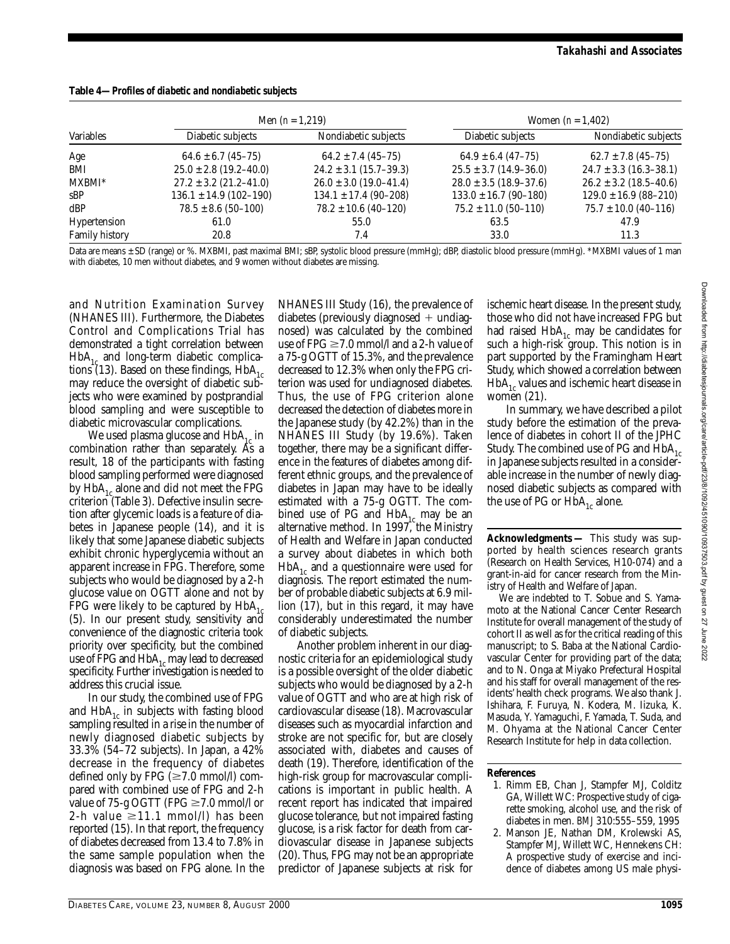| Table 4—Profiles of diabetic and nondiabetic subjects |  |
|-------------------------------------------------------|--|
|-------------------------------------------------------|--|

|                |                            | Men $(n = 1,219)$          | Women $(n = 1, 402)$       |                            |  |
|----------------|----------------------------|----------------------------|----------------------------|----------------------------|--|
| Variables      | Diabetic subjects          | Nondiabetic subjects       | Diabetic subjects          | Nondiabetic subjects       |  |
| Age            | $64.6 \pm 6.7$ (45-75)     | $64.2 \pm 7.4$ (45-75)     | $64.9 \pm 6.4$ (47-75)     | $62.7 \pm 7.8$ (45-75)     |  |
| BMI            | $25.0 \pm 2.8$ (19.2-40.0) | $24.2 \pm 3.1$ (15.7–39.3) | $25.5 \pm 3.7$ (14.9–36.0) | $24.7 \pm 3.3$ (16.3-38.1) |  |
| MXBMI*         | $27.2 \pm 3.2$ (21.2-41.0) | $26.0 \pm 3.0$ (19.0-41.4) | $28.0 \pm 3.5$ (18.9–37.6) | $26.2 \pm 3.2$ (18.5–40.6) |  |
| sBP            | $136.1 \pm 14.9$ (102-190) | $134.1 \pm 17.4$ (90-208)  | $133.0 \pm 16.7$ (90-180)  | $129.0 \pm 16.9$ (88-210)  |  |
| dBP            | $78.5 \pm 8.6$ (50-100)    | $78.2 \pm 10.6$ (40-120)   | $75.2 \pm 11.0$ (50-110)   | $75.7 \pm 10.0$ (40-116)   |  |
| Hypertension   | 61.0                       | 55.0                       | 63.5                       | 47.9                       |  |
| Family history | 20.8                       | 7.4                        | 33.0                       | 11.3                       |  |

Data are means ± SD (range) or %. MXBMI, past maximal BMI; sBP, systolic blood pressure (mmHg); dBP, diastolic blood pressure (mmHg). \*MXBMI values of 1 man with diabetes, 10 men without diabetes, and 9 women without diabetes are missing.

and Nutrition Examination Survey (NHANES III). Furthermore, the Diabetes Control and Complications Trial has demonstrated a tight correlation between  $HbA_{1c}$  and long-term diabetic complications (13). Based on these findings,  $HbA_{1c}$ may reduce the oversight of diabetic subjects who were examined by postprandial blood sampling and were susceptible to diabetic microvascular complications.

We used plasma glucose and  $HbA_{1c}$  in combination rather than separately. As a result, 18 of the participants with fasting blood sampling performed were diagnosed by  $HbA_{1c}$  alone and did not meet the FPG criterion (Table 3). Defective insulin secretion after glycemic loads is a feature of diabetes in Japanese people (14), and it is likely that some Japanese diabetic subjects exhibit chronic hyperglycemia without an apparent increase in FPG. Therefore, some subjects who would be diagnosed by a 2-h glucose value on OGTT alone and not by FPG were likely to be captured by  $HbA_{1c}$ (5). In our present study, sensitivity and convenience of the diagnostic criteria took priority over specificity, but the combined use of FPG and  $HbA_{1c}$  may lead to decreased specificity. Further investigation is needed to address this crucial issue.

In our study, the combined use of FPG and  $HbA_{1c}$  in subjects with fasting blood sampling resulted in a rise in the number of newly diagnosed diabetic subjects by 33.3% (54–72 subjects). In Japan, a 42% decrease in the frequency of diabetes defined only by FPG  $(\geq 7.0 \text{ mmol/l})$  compared with combined use of FPG and 2-h value of 75-g OGTT (FPG ≥7.0 mmol∕l or  $2-h$  value  $\geq 11.1$  mmol/l) has been reported (15). In that report, the frequency of diabetes decreased from 13.4 to 7.8% in the same sample population when the diagnosis was based on FPG alone. In the NHANES III Study (16), the prevalence of diabetes (previously diagnosed  $+$  undiagnosed) was calculated by the combined use of FPG ≥7.0 mmol∕l and a 2-h value of a 75-g OGTT of 15.3%, and the prevalence decreased to 12.3% when only the FPG criterion was used for undiagnosed diabetes. Thus, the use of FPG criterion alone decreased the detection of diabetes more in the Japanese study (by 42.2%) than in the NHANES III Study (by 19.6%). Taken together, there may be a significant difference in the features of diabetes among different ethnic groups, and the prevalence of diabetes in Japan may have to be ideally estimated with a 75-g OGTT. The combined use of PG and  $HbA_{1c}$  may be an alternative method. In 1997, the Ministry of Health and Welfare in Japan conducted a survey about diabetes in which both  $HbA_{1c}$  and a questionnaire were used for diagnosis. The report estimated the number of probable diabetic subjects at 6.9 million (17), but in this regard, it may have considerably underestimated the number of diabetic subjects.

Another problem inherent in our diagnostic criteria for an epidemiological study is a possible oversight of the older diabetic subjects who would be diagnosed by a 2-h value of OGTT and who are at high risk of cardiovascular disease (18). Macrovascular diseases such as myocardial infarction and stroke are not specific for, but are closely associated with, diabetes and causes of death (19). Therefore, identification of the high-risk group for macrovascular complications is important in public health. A recent report has indicated that impaired glucose tolerance, but not impaired fasting glucose, is a risk factor for death from cardiovascular disease in Japanese subjects (20). Thus, FPG may not be an appropriate predictor of Japanese subjects at risk for

ischemic heart disease. In the present study, those who did not have increased FPG but had raised  $HbA_{1c}$  may be candidates for such a high-risk group. This notion is in part supported by the Framingham Heart Study, which showed a correlation between  $HbA_{1c}$  values and ischemic heart disease in women (21).

In summary, we have described a pilot study before the estimation of the prevalence of diabetes in cohort II of the JPHC Study. The combined use of PG and  $HbA_{1c}$ in Japanese subjects resulted in a considerable increase in the number of newly diagnosed diabetic subjects as compared with the use of PG or  $HbA_{1c}$  alone.

**Acknowledgments —** This study was supported by health sciences research grants (Research on Health Services, H10-074) and a grant-in-aid for cancer research from the Ministry of Health and Welfare of Japan.

We are indebted to T. Sobue and S. Yamamoto at the National Cancer Center Research Institute for overall management of the study of cohort II as well as for the critical reading of this manuscript; to S. Baba at the National Cardiovascular Center for providing part of the data; and to N. Onga at Miyako Prefectural Hospital and his staff for overall management of the residents' health check programs. We also thank J. Ishihara, F. Furuya, N. Kodera, M. Iizuka, K. Masuda, Y. Yamaguchi, F. Yamada, T. Suda, and M. Ohyama at the National Cancer Center Research Institute for help in data collection.

#### **References**

- 1. Rimm EB, Chan J, Stampfer MJ, Colditz GA, Willett WC: Prospective study of cigarette smoking, alcohol use, and the risk of diabetes in men. *BMJ* 310:555–559, 1995
- 2. Manson JE, Nathan DM, Krolewski AS, Stampfer MJ, Willett WC, Hennekens CH: A prospective study of exercise and incidence of diabetes among US male physi-